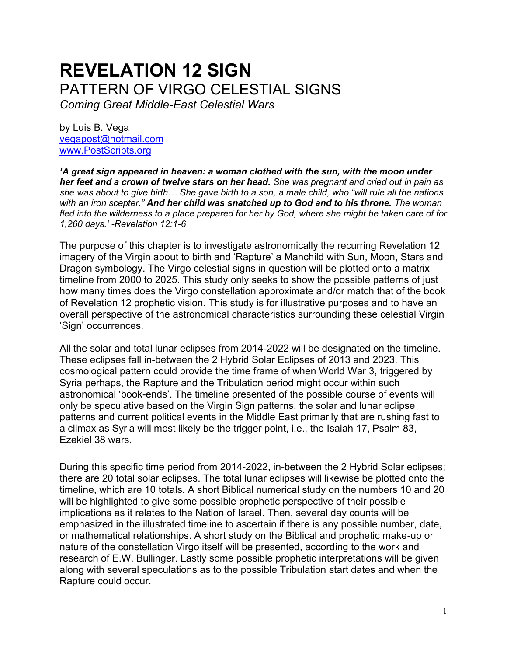# **REVELATION 12 SIGN** PATTERN OF VIRGO CELESTIAL SIGNS

*Coming Great Middle-East Celestial Wars*

by Luis B. Vega [vegapost@hotmail.com](mailto:vegapost@hotmail.com) [www.PostScripts.org](http://www.postscripts.org/)

*'A great sign appeared in heaven: a woman clothed with the sun, with the moon under her feet and a crown of twelve stars on her head. She was pregnant and cried out in pain as she was about to give birth… She gave birth to a son, a male child, who "will rule all the nations with an iron scepter." And her child was snatched up to God and to his throne. The woman fled into the wilderness to a place prepared for her by God, where she might be taken care of for 1,260 days.' -Revelation 12:1-6*

The purpose of this chapter is to investigate astronomically the recurring Revelation 12 imagery of the Virgin about to birth and 'Rapture' a Manchild with Sun, Moon, Stars and Dragon symbology. The Virgo celestial signs in question will be plotted onto a matrix timeline from 2000 to 2025. This study only seeks to show the possible patterns of just how many times does the Virgo constellation approximate and/or match that of the book of Revelation 12 prophetic vision. This study is for illustrative purposes and to have an overall perspective of the astronomical characteristics surrounding these celestial Virgin 'Sign' occurrences.

All the solar and total lunar eclipses from 2014-2022 will be designated on the timeline. These eclipses fall in-between the 2 Hybrid Solar Eclipses of 2013 and 2023. This cosmological pattern could provide the time frame of when World War 3, triggered by Syria perhaps, the Rapture and the Tribulation period might occur within such astronomical 'book-ends'. The timeline presented of the possible course of events will only be speculative based on the Virgin Sign patterns, the solar and lunar eclipse patterns and current political events in the Middle East primarily that are rushing fast to a climax as Syria will most likely be the trigger point, i.e., the Isaiah 17, Psalm 83, Ezekiel 38 wars.

During this specific time period from 2014-2022, in-between the 2 Hybrid Solar eclipses; there are 20 total solar eclipses. The total lunar eclipses will likewise be plotted onto the timeline, which are 10 totals. A short Biblical numerical study on the numbers 10 and 20 will be highlighted to give some possible prophetic perspective of their possible implications as it relates to the Nation of Israel. Then, several day counts will be emphasized in the illustrated timeline to ascertain if there is any possible number, date, or mathematical relationships. A short study on the Biblical and prophetic make-up or nature of the constellation Virgo itself will be presented, according to the work and research of E.W. Bullinger. Lastly some possible prophetic interpretations will be given along with several speculations as to the possible Tribulation start dates and when the Rapture could occur.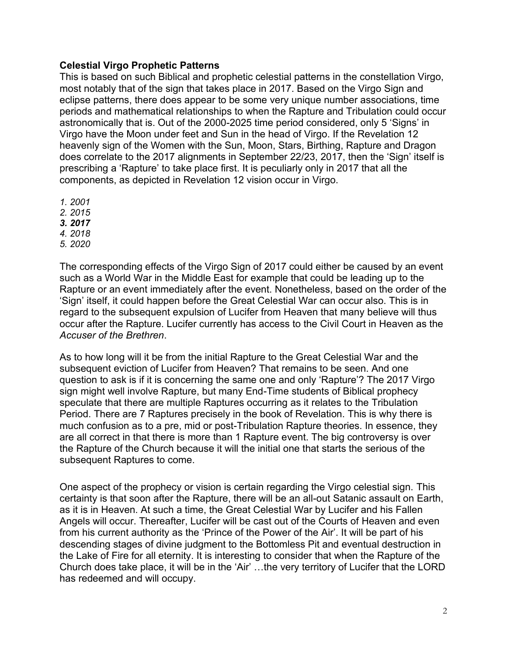# **Celestial Virgo Prophetic Patterns**

This is based on such Biblical and prophetic celestial patterns in the constellation Virgo, most notably that of the sign that takes place in 2017. Based on the Virgo Sign and eclipse patterns, there does appear to be some very unique number associations, time periods and mathematical relationships to when the Rapture and Tribulation could occur astronomically that is. Out of the 2000-2025 time period considered, only 5 'Signs' in Virgo have the Moon under feet and Sun in the head of Virgo. If the Revelation 12 heavenly sign of the Women with the Sun, Moon, Stars, Birthing, Rapture and Dragon does correlate to the 2017 alignments in September 22/23, 2017, then the 'Sign' itself is prescribing a 'Rapture' to take place first. It is peculiarly only in 2017 that all the components, as depicted in Revelation 12 vision occur in Virgo.

- *1. 2001*
- *2. 2015*
- *3. 2017*
- *4. 2018*
- *5. 2020*

The corresponding effects of the Virgo Sign of 2017 could either be caused by an event such as a World War in the Middle East for example that could be leading up to the Rapture or an event immediately after the event. Nonetheless, based on the order of the 'Sign' itself, it could happen before the Great Celestial War can occur also. This is in regard to the subsequent expulsion of Lucifer from Heaven that many believe will thus occur after the Rapture. Lucifer currently has access to the Civil Court in Heaven as the *Accuser of the Brethren*.

As to how long will it be from the initial Rapture to the Great Celestial War and the subsequent eviction of Lucifer from Heaven? That remains to be seen. And one question to ask is if it is concerning the same one and only 'Rapture'? The 2017 Virgo sign might well involve Rapture, but many End-Time students of Biblical prophecy speculate that there are multiple Raptures occurring as it relates to the Tribulation Period. There are 7 Raptures precisely in the book of Revelation. This is why there is much confusion as to a pre, mid or post-Tribulation Rapture theories. In essence, they are all correct in that there is more than 1 Rapture event. The big controversy is over the Rapture of the Church because it will the initial one that starts the serious of the subsequent Raptures to come.

One aspect of the prophecy or vision is certain regarding the Virgo celestial sign. This certainty is that soon after the Rapture, there will be an all-out Satanic assault on Earth, as it is in Heaven. At such a time, the Great Celestial War by Lucifer and his Fallen Angels will occur. Thereafter, Lucifer will be cast out of the Courts of Heaven and even from his current authority as the 'Prince of the Power of the Air'. It will be part of his descending stages of divine judgment to the Bottomless Pit and eventual destruction in the Lake of Fire for all eternity. It is interesting to consider that when the Rapture of the Church does take place, it will be in the 'Air' …the very territory of Lucifer that the LORD has redeemed and will occupy.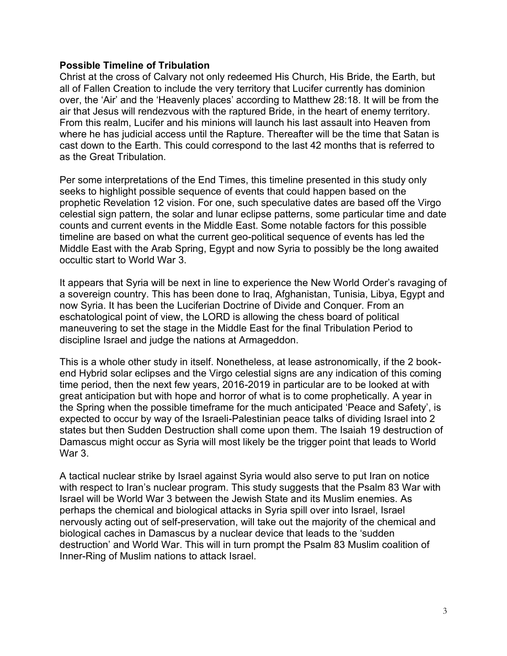## **Possible Timeline of Tribulation**

Christ at the cross of Calvary not only redeemed His Church, His Bride, the Earth, but all of Fallen Creation to include the very territory that Lucifer currently has dominion over, the 'Air' and the 'Heavenly places' according to Matthew 28:18. It will be from the air that Jesus will rendezvous with the raptured Bride, in the heart of enemy territory. From this realm, Lucifer and his minions will launch his last assault into Heaven from where he has judicial access until the Rapture. Thereafter will be the time that Satan is cast down to the Earth. This could correspond to the last 42 months that is referred to as the Great Tribulation.

Per some interpretations of the End Times, this timeline presented in this study only seeks to highlight possible sequence of events that could happen based on the prophetic Revelation 12 vision. For one, such speculative dates are based off the Virgo celestial sign pattern, the solar and lunar eclipse patterns, some particular time and date counts and current events in the Middle East. Some notable factors for this possible timeline are based on what the current geo-political sequence of events has led the Middle East with the Arab Spring, Egypt and now Syria to possibly be the long awaited occultic start to World War 3.

It appears that Syria will be next in line to experience the New World Order's ravaging of a sovereign country. This has been done to Iraq, Afghanistan, Tunisia, Libya, Egypt and now Syria. It has been the Luciferian Doctrine of Divide and Conquer. From an eschatological point of view, the LORD is allowing the chess board of political maneuvering to set the stage in the Middle East for the final Tribulation Period to discipline Israel and judge the nations at Armageddon.

This is a whole other study in itself. Nonetheless, at lease astronomically, if the 2 bookend Hybrid solar eclipses and the Virgo celestial signs are any indication of this coming time period, then the next few years, 2016-2019 in particular are to be looked at with great anticipation but with hope and horror of what is to come prophetically. A year in the Spring when the possible timeframe for the much anticipated 'Peace and Safety', is expected to occur by way of the Israeli-Palestinian peace talks of dividing Israel into 2 states but then Sudden Destruction shall come upon them. The Isaiah 19 destruction of Damascus might occur as Syria will most likely be the trigger point that leads to World War 3.

A tactical nuclear strike by Israel against Syria would also serve to put Iran on notice with respect to Iran's nuclear program. This study suggests that the Psalm 83 War with Israel will be World War 3 between the Jewish State and its Muslim enemies. As perhaps the chemical and biological attacks in Syria spill over into Israel, Israel nervously acting out of self-preservation, will take out the majority of the chemical and biological caches in Damascus by a nuclear device that leads to the 'sudden destruction' and World War. This will in turn prompt the Psalm 83 Muslim coalition of Inner-Ring of Muslim nations to attack Israel.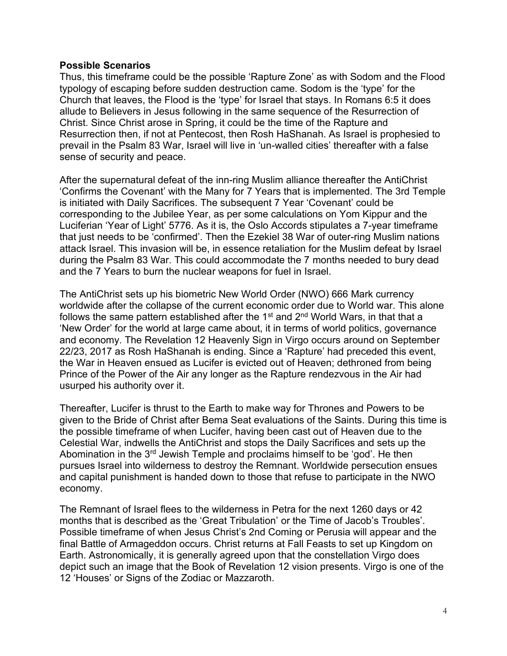#### **Possible Scenarios**

Thus, this timeframe could be the possible 'Rapture Zone' as with Sodom and the Flood typology of escaping before sudden destruction came. Sodom is the 'type' for the Church that leaves, the Flood is the 'type' for Israel that stays. In Romans 6:5 it does allude to Believers in Jesus following in the same sequence of the Resurrection of Christ. Since Christ arose in Spring, it could be the time of the Rapture and Resurrection then, if not at Pentecost, then Rosh HaShanah. As Israel is prophesied to prevail in the Psalm 83 War, Israel will live in 'un-walled cities' thereafter with a false sense of security and peace.

After the supernatural defeat of the inn-ring Muslim alliance thereafter the AntiChrist 'Confirms the Covenant' with the Many for 7 Years that is implemented. The 3rd Temple is initiated with Daily Sacrifices. The subsequent 7 Year 'Covenant' could be corresponding to the Jubilee Year, as per some calculations on Yom Kippur and the Luciferian 'Year of Light' 5776. As it is, the Oslo Accords stipulates a 7-year timeframe that just needs to be 'confirmed'. Then the Ezekiel 38 War of outer-ring Muslim nations attack Israel. This invasion will be, in essence retaliation for the Muslim defeat by Israel during the Psalm 83 War. This could accommodate the 7 months needed to bury dead and the 7 Years to burn the nuclear weapons for fuel in Israel.

The AntiChrist sets up his biometric New World Order (NWO) 666 Mark currency worldwide after the collapse of the current economic order due to World war. This alone follows the same pattern established after the  $1<sup>st</sup>$  and  $2<sup>nd</sup>$  World Wars, in that that a 'New Order' for the world at large came about, it in terms of world politics, governance and economy. The Revelation 12 Heavenly Sign in Virgo occurs around on September 22/23, 2017 as Rosh HaShanah is ending. Since a 'Rapture' had preceded this event, the War in Heaven ensued as Lucifer is evicted out of Heaven; dethroned from being Prince of the Power of the Air any longer as the Rapture rendezvous in the Air had usurped his authority over it.

Thereafter, Lucifer is thrust to the Earth to make way for Thrones and Powers to be given to the Bride of Christ after Bema Seat evaluations of the Saints. During this time is the possible timeframe of when Lucifer, having been cast out of Heaven due to the Celestial War, indwells the AntiChrist and stops the Daily Sacrifices and sets up the Abomination in the 3rd Jewish Temple and proclaims himself to be 'god'. He then pursues Israel into wilderness to destroy the Remnant. Worldwide persecution ensues and capital punishment is handed down to those that refuse to participate in the NWO economy.

The Remnant of Israel flees to the wilderness in Petra for the next 1260 days or 42 months that is described as the 'Great Tribulation' or the Time of Jacob's Troubles'. Possible timeframe of when Jesus Christ's 2nd Coming or Perusia will appear and the final Battle of Armageddon occurs. Christ returns at Fall Feasts to set up Kingdom on Earth. Astronomically, it is generally agreed upon that the constellation Virgo does depict such an image that the Book of Revelation 12 vision presents. Virgo is one of the 12 'Houses' or Signs of the Zodiac or Mazzaroth.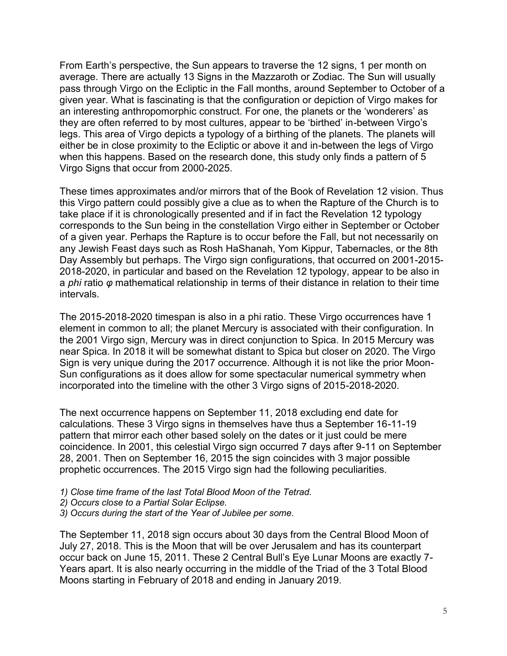From Earth's perspective, the Sun appears to traverse the 12 signs, 1 per month on average. There are actually 13 Signs in the Mazzaroth or Zodiac. The Sun will usually pass through Virgo on the Ecliptic in the Fall months, around September to October of a given year. What is fascinating is that the configuration or depiction of Virgo makes for an interesting anthropomorphic construct. For one, the planets or the 'wonderers' as they are often referred to by most cultures, appear to be 'birthed' in-between Virgo's legs. This area of Virgo depicts a typology of a birthing of the planets. The planets will either be in close proximity to the Ecliptic or above it and in-between the legs of Virgo when this happens. Based on the research done, this study only finds a pattern of 5 Virgo Signs that occur from 2000-2025.

These times approximates and/or mirrors that of the Book of Revelation 12 vision. Thus this Virgo pattern could possibly give a clue as to when the Rapture of the Church is to take place if it is chronologically presented and if in fact the Revelation 12 typology corresponds to the Sun being in the constellation Virgo either in September or October of a given year. Perhaps the Rapture is to occur before the Fall, but not necessarily on any Jewish Feast days such as Rosh HaShanah, Yom Kippur, Tabernacles, or the 8th Day Assembly but perhaps. The Virgo sign configurations, that occurred on 2001-2015- 2018-2020, in particular and based on the Revelation 12 typology, appear to be also in a *phi* ratio *φ* mathematical relationship in terms of their distance in relation to their time intervals.

The 2015-2018-2020 timespan is also in a phi ratio. These Virgo occurrences have 1 element in common to all; the planet Mercury is associated with their configuration. In the 2001 Virgo sign, Mercury was in direct conjunction to Spica. In 2015 Mercury was near Spica. In 2018 it will be somewhat distant to Spica but closer on 2020. The Virgo Sign is very unique during the 2017 occurrence. Although it is not like the prior Moon-Sun configurations as it does allow for some spectacular numerical symmetry when incorporated into the timeline with the other 3 Virgo signs of 2015-2018-2020.

The next occurrence happens on September 11, 2018 excluding end date for calculations. These 3 Virgo signs in themselves have thus a September 16-11-19 pattern that mirror each other based solely on the dates or it just could be mere coincidence. In 2001, this celestial Virgo sign occurred 7 days after 9-11 on September 28, 2001. Then on September 16, 2015 the sign coincides with 3 major possible prophetic occurrences. The 2015 Virgo sign had the following peculiarities.

- *1) Close time frame of the last Total Blood Moon of the Tetrad.*
- *2) Occurs close to a Partial Solar Eclipse.*
- *3) Occurs during the start of the Year of Jubilee per some.*

The September 11, 2018 sign occurs about 30 days from the Central Blood Moon of July 27, 2018. This is the Moon that will be over Jerusalem and has its counterpart occur back on June 15, 2011. These 2 Central Bull's Eye Lunar Moons are exactly 7- Years apart. It is also nearly occurring in the middle of the Triad of the 3 Total Blood Moons starting in February of 2018 and ending in January 2019.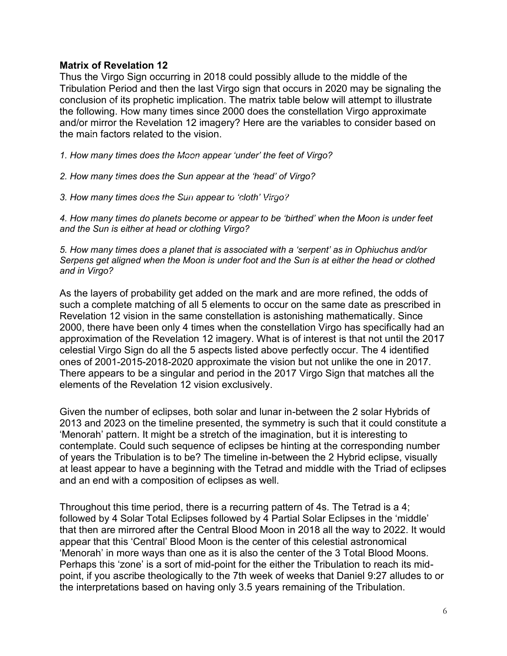## **Matrix of Revelation 12**

Thus the Virgo Sign occurring in 2018 could possibly allude to the middle of the Tribulation Period and then the last Virgo sign that occurs in 2020 may be signaling the conclusion of its prophetic implication. The matrix table below will attempt to illustrate the following. How many times since 2000 does the constellation Virgo approximate and/or mirror the Revelation 12 imagery? Here are the variables to consider based on the main factors related to the vision.

*1. How many times does the Moon appear 'under' the feet of Virgo?*

*2. How many times does the Sun appear at the 'head' of Virgo?*

*3. How many times does the Sun appear to 'cloth' Virgo?*

*4. How many times do planets become or appear to be 'birthed' when the Moon is under feet and the Sun is either at head or clothing Virgo?*

*5. How many times does a planet that is associated with a 'serpent' as in Ophiuchus and/or Serpens get aligned when the Moon is under foot and the Sun is at either the head or clothed and in Virgo?*

As the layers of probability get added on the mark and are more refined, the odds of such a complete matching of all 5 elements to occur on the same date as prescribed in Revelation 12 vision in the same constellation is astonishing mathematically. Since 2000, there have been only 4 times when the constellation Virgo has specifically had an approximation of the Revelation 12 imagery. What is of interest is that not until the 2017 celestial Virgo Sign do all the 5 aspects listed above perfectly occur. The 4 identified ones of 2001-2015-2018-2020 approximate the vision but not unlike the one in 2017. There appears to be a singular and period in the 2017 Virgo Sign that matches all the elements of the Revelation 12 vision exclusively.

Given the number of eclipses, both solar and lunar in-between the 2 solar Hybrids of 2013 and 2023 on the timeline presented, the symmetry is such that it could constitute a 'Menorah' pattern. It might be a stretch of the imagination, but it is interesting to contemplate. Could such sequence of eclipses be hinting at the corresponding number of years the Tribulation is to be? The timeline in-between the 2 Hybrid eclipse, visually at least appear to have a beginning with the Tetrad and middle with the Triad of eclipses and an end with a composition of eclipses as well.

Throughout this time period, there is a recurring pattern of 4s. The Tetrad is a 4; followed by 4 Solar Total Eclipses followed by 4 Partial Solar Eclipses in the 'middle' that then are mirrored after the Central Blood Moon in 2018 all the way to 2022. It would appear that this 'Central' Blood Moon is the center of this celestial astronomical 'Menorah' in more ways than one as it is also the center of the 3 Total Blood Moons. Perhaps this 'zone' is a sort of mid-point for the either the Tribulation to reach its midpoint, if you ascribe theologically to the 7th week of weeks that Daniel 9:27 alludes to or the interpretations based on having only 3.5 years remaining of the Tribulation.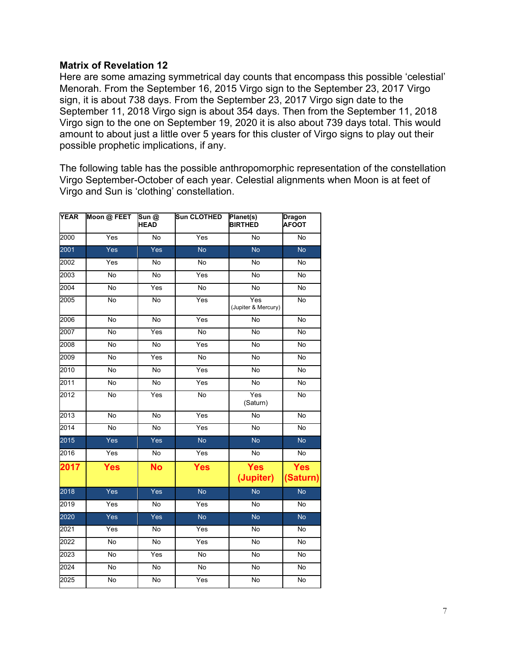## **Matrix of Revelation 12**

Here are some amazing symmetrical day counts that encompass this possible 'celestial' Menorah. From the September 16, 2015 Virgo sign to the September 23, 2017 Virgo sign, it is about 738 days. From the September 23, 2017 Virgo sign date to the September 11, 2018 Virgo sign is about 354 days. Then from the September 11, 2018 Virgo sign to the one on September 19, 2020 it is also about 739 days total. This would amount to about just a little over 5 years for this cluster of Virgo signs to play out their possible prophetic implications, if any.

The following table has the possible anthropomorphic representation of the constellation Virgo September-October of each year. Celestial alignments when Moon is at feet of Virgo and Sun is 'clothing' constellation.

| <b>YEAR</b> | Moon @ FEET    | Sun @<br><b>HEAD</b> | <b>Sun CLOTHED</b> | Planet(s)<br><b>BIRTHED</b> | <b>Dragon</b><br><b>AFOOT</b> |
|-------------|----------------|----------------------|--------------------|-----------------------------|-------------------------------|
| 2000        | Yes            | No                   | Yes                | No                          | No                            |
| 2001        | Yes            | Yes                  | <b>No</b>          | <b>No</b>                   | <b>No</b>                     |
| 2002        | Yes            | <b>No</b>            | <b>No</b>          | <b>No</b>                   | No                            |
| 2003        | No             | No                   | Yes                | No                          | No                            |
| 2004        | $\overline{N}$ | Yes                  | $\overline{N}$     | No                          | <b>No</b>                     |
| 2005        | No             | No                   | Yes                | Yes<br>(Jupiter & Mercury)  | No                            |
| 2006        | $\overline{N}$ | <b>No</b>            | Yes                | <b>No</b>                   | <b>No</b>                     |
| 2007        | $\overline{N}$ | Yes                  | $\overline{N}$     | $\overline{N}$              | <b>No</b>                     |
| 2008        | No             | <b>No</b>            | Yes                | <b>No</b>                   | <b>No</b>                     |
| 2009        | $\overline{N}$ | Yes                  | $\overline{N}$     | $\overline{N}$              | $\overline{N}$                |
| 2010        | <b>No</b>      | <b>No</b>            | Yes                | <b>No</b>                   | <b>No</b>                     |
| 2011        | $\overline{N}$ | $\overline{N}$       | Yes                | $\overline{N}$              | $\overline{N}$                |
| 2012        | <b>No</b>      | Yes                  | $\overline{N}$     | Yes<br>(Saturn)             | <b>No</b>                     |
| 2013        | <b>No</b>      | <b>No</b>            | Yes                | <b>No</b>                   | No                            |
| 2014        | $\overline{N}$ | <b>No</b>            | Yes                | $\overline{N}$              | <b>No</b>                     |
| 2015        | Yes            | Yes                  | No                 | <b>No</b>                   | <b>No</b>                     |
| 2016        | Yes            | <b>No</b>            | Yes                | $\overline{N}$              | No                            |
| 2017        | <b>Yes</b>     | <b>No</b>            | <b>Yes</b>         | <b>Yes</b><br>(Jupiter)     | <b>Yes</b><br>(Saturn)        |
| 2018        | Yes            | Yes                  | <b>No</b>          | <b>No</b>                   | <b>No</b>                     |
| 2019        | Yes            | No                   | Yes                | No                          | No                            |
| 2020        | Yes            | Yes                  | <b>No</b>          | <b>No</b>                   | <b>No</b>                     |
| 2021        | Yes            | <b>No</b>            | Yes                | No                          | <b>No</b>                     |
| 2022        | <b>No</b>      | No                   | Yes                | No                          | <b>No</b>                     |
| 2023        | <b>No</b>      | Yes                  | $\overline{N}$     | <b>No</b>                   | <b>No</b>                     |
| 2024        | $\overline{N}$ | $\overline{N}$       | $\overline{N}$     | $\overline{N}$              | $\overline{N}$                |
| 2025        | $\overline{N}$ | $\overline{N}$       | Yes                | $\overline{N}$              | <b>No</b>                     |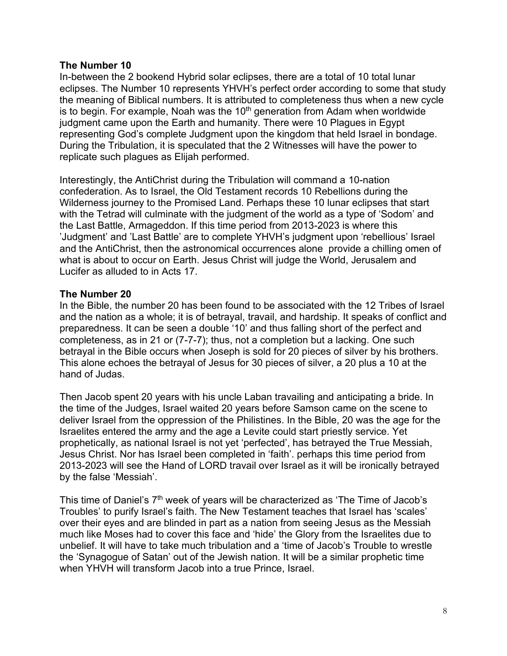## **The Number 10**

In-between the 2 bookend Hybrid solar eclipses, there are a total of 10 total lunar eclipses. The Number 10 represents YHVH's perfect order according to some that study the meaning of Biblical numbers. It is attributed to completeness thus when a new cycle is to begin. For example, Noah was the  $10<sup>th</sup>$  generation from Adam when worldwide judgment came upon the Earth and humanity. There were 10 Plagues in Egypt representing God's complete Judgment upon the kingdom that held Israel in bondage. During the Tribulation, it is speculated that the 2 Witnesses will have the power to replicate such plagues as Elijah performed.

Interestingly, the AntiChrist during the Tribulation will command a 10-nation confederation. As to Israel, the Old Testament records 10 Rebellions during the Wilderness journey to the Promised Land. Perhaps these 10 lunar eclipses that start with the Tetrad will culminate with the judgment of the world as a type of 'Sodom' and the Last Battle, Armageddon. If this time period from 2013-2023 is where this 'Judgment' and 'Last Battle' are to complete YHVH's judgment upon 'rebellious' Israel and the AntiChrist, then the astronomical occurrences alone provide a chilling omen of what is about to occur on Earth. Jesus Christ will judge the World, Jerusalem and Lucifer as alluded to in Acts 17.

# **The Number 20**

In the Bible, the number 20 has been found to be associated with the 12 Tribes of Israel and the nation as a whole; it is of betrayal, travail, and hardship. It speaks of conflict and preparedness. It can be seen a double '10' and thus falling short of the perfect and completeness, as in 21 or (7-7-7); thus, not a completion but a lacking. One such betrayal in the Bible occurs when Joseph is sold for 20 pieces of silver by his brothers. This alone echoes the betrayal of Jesus for 30 pieces of silver, a 20 plus a 10 at the hand of Judas.

Then Jacob spent 20 years with his uncle Laban travailing and anticipating a bride. In the time of the Judges, Israel waited 20 years before Samson came on the scene to deliver Israel from the oppression of the Philistines. In the Bible, 20 was the age for the Israelites entered the army and the age a Levite could start priestly service. Yet prophetically, as national Israel is not yet 'perfected', has betrayed the True Messiah, Jesus Christ. Nor has Israel been completed in 'faith'. perhaps this time period from 2013-2023 will see the Hand of LORD travail over Israel as it will be ironically betrayed by the false 'Messiah'.

This time of Daniel's 7<sup>th</sup> week of years will be characterized as 'The Time of Jacob's Troubles' to purify Israel's faith. The New Testament teaches that Israel has 'scales' over their eyes and are blinded in part as a nation from seeing Jesus as the Messiah much like Moses had to cover this face and 'hide' the Glory from the Israelites due to unbelief. It will have to take much tribulation and a 'time of Jacob's Trouble to wrestle the 'Synagogue of Satan' out of the Jewish nation. It will be a similar prophetic time when YHVH will transform Jacob into a true Prince, Israel.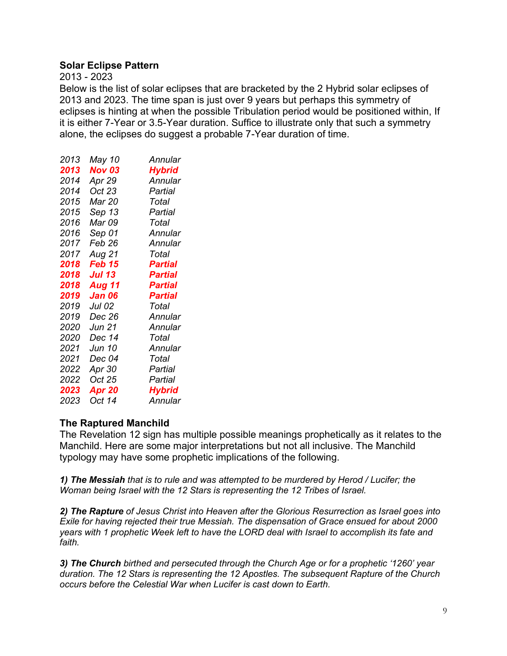# **Solar Eclipse Pattern**

2013 - 2023

Below is the list of solar eclipses that are bracketed by the 2 Hybrid solar eclipses of 2013 and 2023. The time span is just over 9 years but perhaps this symmetry of eclipses is hinting at when the possible Tribulation period would be positioned within, If it is either 7-Year or 3.5-Year duration. Suffice to illustrate only that such a symmetry alone, the eclipses do suggest a probable 7-Year duration of time.

| 2013 | May 10        | Annular        |
|------|---------------|----------------|
| 2013 | <b>Nov 03</b> | <b>Hybrid</b>  |
| 2014 | Apr 29        | Annular        |
| 2014 | Oct 23        | Partial        |
| 2015 | Mar 20        | Total          |
| 2015 | Sep 13        | Partial        |
| 2016 | Mar 09        | Total          |
| 2016 | Sep 01        | Annular        |
| 2017 | Feb 26        | Annular        |
| 2017 | Aug 21        | Total          |
| 2018 | Feb 15        | Partial        |
| 2018 | <b>Jul 13</b> | <b>Partial</b> |
| 2018 | <b>Aug 11</b> | <b>Partial</b> |
| 2019 | Jan 06        | Partial        |
| 2019 | Jul 02        | Total          |
| 2019 | Dec 26        | Annular        |
| 2020 | Jun 21        | Annular        |
| 2020 | Dec 14        | Total          |
| 2021 | Jun 10        | Annular        |
| 2021 | Dec 04        | Total          |
| 2022 | Apr 30        | Partial        |
| 2022 | Oct 25        | Partial        |
| 2023 | Apr 20        | <b>Hybrid</b>  |
| 2023 | Oct 14        | Annular        |

# **The Raptured Manchild**

The Revelation 12 sign has multiple possible meanings prophetically as it relates to the Manchild. Here are some major interpretations but not all inclusive. The Manchild typology may have some prophetic implications of the following.

*1) The Messiah that is to rule and was attempted to be murdered by Herod / Lucifer; the Woman being Israel with the 12 Stars is representing the 12 Tribes of Israel.*

*2) The Rapture of Jesus Christ into Heaven after the Glorious Resurrection as Israel goes into Exile for having rejected their true Messiah. The dispensation of Grace ensued for about 2000 years with 1 prophetic Week left to have the LORD deal with Israel to accomplish its fate and faith.*

*3) The Church birthed and persecuted through the Church Age or for a prophetic '1260' year duration. The 12 Stars is representing the 12 Apostles. The subsequent Rapture of the Church occurs before the Celestial War when Lucifer is cast down to Earth.*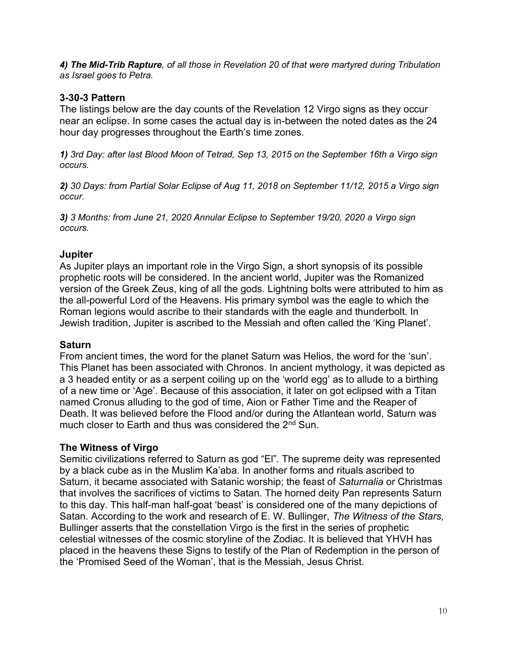*4) The Mid-Trib Rapture, of all those in Revelation 20 of that were martyred during Tribulation as Israel goes to Petra.*

# **3-30-3 Pattern**

The listings below are the day counts of the Revelation 12 Virgo signs as they occur near an eclipse. In some cases the actual day is in-between the noted dates as the 24 hour day progresses throughout the Earth's time zones.

*1) 3rd Day: after last Blood Moon of Tetrad, Sep 13, 2015 on the September 16th a Virgo sign occurs.*

*2) 30 Days: from Partial Solar Eclipse of Aug 11, 2018 on September 11/12, 2015 a Virgo sign occur.*

*3) 3 Months: from June 21, 2020 Annular Eclipse to September 19/20, 2020 a Virgo sign occurs.*

# **Jupiter**

As Jupiter plays an important role in the Virgo Sign, a short synopsis of its possible prophetic roots will be considered. In the ancient world, Jupiter was the Romanized version of the Greek Zeus, king of all the gods. Lightning bolts were attributed to him as the all-powerful Lord of the Heavens. His primary symbol was the eagle to which the Roman legions would ascribe to their standards with the eagle and thunderbolt. In Jewish tradition, Jupiter is ascribed to the Messiah and often called the 'King Planet'.

# **Saturn**

From ancient times, the word for the planet Saturn was Helios, the word for the 'sun'. This Planet has been associated with Chronos. In ancient mythology, it was depicted as a 3 headed entity or as a serpent coiling up on the 'world egg' as to allude to a birthing of a new time or 'Age'. Because of this association, it later on got eclipsed with a Titan named Cronus alluding to the god of time, Aion or Father Time and the Reaper of Death. It was believed before the Flood and/or during the Atlantean world, Saturn was much closer to Earth and thus was considered the 2<sup>nd</sup> Sun.

# **The Witness of Virgo**

Semitic civilizations referred to Saturn as god "El". The supreme deity was represented by a black cube as in the Muslim Ka'aba. In another forms and rituals ascribed to Saturn, it became associated with Satanic worship; the feast of *Saturnalia* or Christmas that involves the sacrifices of victims to Satan. The horned deity Pan represents Saturn to this day. This half-man half-goat 'beast' is considered one of the many depictions of Satan. According to the work and research of E. W. Bullinger, *The Witness of the Stars,* Bullinger asserts that the constellation Virgo is the first in the series of prophetic celestial witnesses of the cosmic storyline of the Zodiac. It is believed that YHVH has placed in the heavens these Signs to testify of the Plan of Redemption in the person of the 'Promised Seed of the Woman', that is the Messiah, Jesus Christ.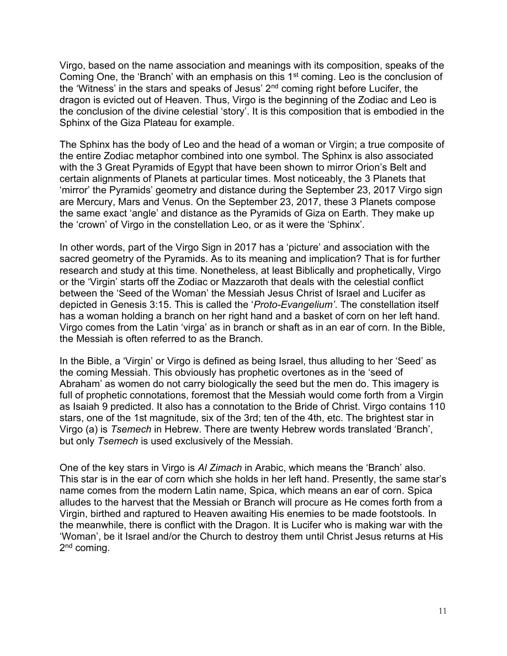Virgo, based on the name association and meanings with its composition, speaks of the Coming One, the 'Branch' with an emphasis on this  $1<sup>st</sup>$  coming. Leo is the conclusion of the 'Witness' in the stars and speaks of Jesus'  $2<sup>nd</sup>$  coming right before Lucifer, the dragon is evicted out of Heaven. Thus, Virgo is the beginning of the Zodiac and Leo is the conclusion of the divine celestial 'story'. It is this composition that is embodied in the Sphinx of the Giza Plateau for example.

The Sphinx has the body of Leo and the head of a woman or Virgin; a true composite of the entire Zodiac metaphor combined into one symbol. The Sphinx is also associated with the 3 Great Pyramids of Egypt that have been shown to mirror Orion's Belt and certain alignments of Planets at particular times. Most noticeably, the 3 Planets that 'mirror' the Pyramids' geometry and distance during the September 23, 2017 Virgo sign are Mercury, Mars and Venus. On the September 23, 2017, these 3 Planets compose the same exact 'angle' and distance as the Pyramids of Giza on Earth. They make up the 'crown' of Virgo in the constellation Leo, or as it were the 'Sphinx'.

In other words, part of the Virgo Sign in 2017 has a 'picture' and association with the sacred geometry of the Pyramids. As to its meaning and implication? That is for further research and study at this time. Nonetheless, at least Biblically and prophetically, Virgo or the 'Virgin' starts off the Zodiac or Mazzaroth that deals with the celestial conflict between the 'Seed of the Woman' the Messiah Jesus Christ of Israel and Lucifer as depicted in Genesis 3:15. This is called the '*Proto-Evangelium'*. The constellation itself has a woman holding a branch on her right hand and a basket of corn on her left hand. Virgo comes from the Latin 'virga' as in branch or shaft as in an ear of corn. In the Bible, the Messiah is often referred to as the Branch.

In the Bible, a 'Virgin' or Virgo is defined as being Israel, thus alluding to her 'Seed' as the coming Messiah. This obviously has prophetic overtones as in the 'seed of Abraham' as women do not carry biologically the seed but the men do. This imagery is full of prophetic connotations, foremost that the Messiah would come forth from a Virgin as Isaiah 9 predicted. It also has a connotation to the Bride of Christ. Virgo contains 110 stars, one of the 1st magnitude, six of the 3rd; ten of the 4th, etc. The brightest star in Virgo (a) is *Tsemech* in Hebrew. There are twenty Hebrew words translated 'Branch', but only *Tsemech* is used exclusively of the Messiah.

One of the key stars in Virgo is *Al Zimach* in Arabic, which means the 'Branch' also. This star is in the ear of corn which she holds in her left hand. Presently, the same star's name comes from the modern Latin name, Spica, which means an ear of corn. Spica alludes to the harvest that the Messiah or Branch will procure as He comes forth from a Virgin, birthed and raptured to Heaven awaiting His enemies to be made footstools. In the meanwhile, there is conflict with the Dragon. It is Lucifer who is making war with the 'Woman', be it Israel and/or the Church to destroy them until Christ Jesus returns at His 2<sup>nd</sup> coming.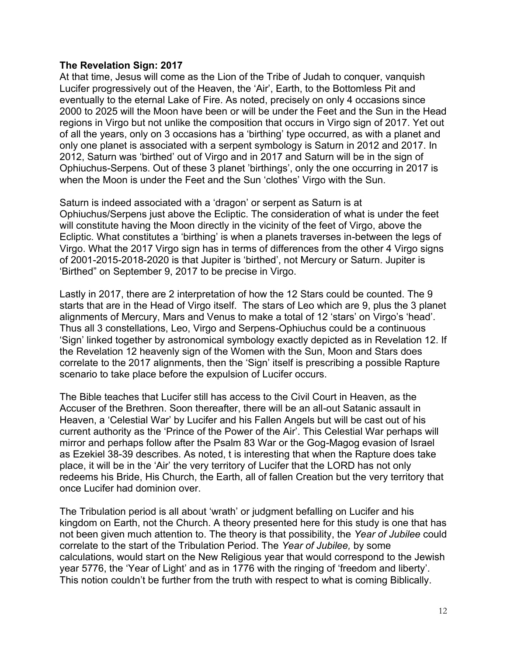## **The Revelation Sign: 2017**

At that time, Jesus will come as the Lion of the Tribe of Judah to conquer, vanquish Lucifer progressively out of the Heaven, the 'Air', Earth, to the Bottomless Pit and eventually to the eternal Lake of Fire. As noted, precisely on only 4 occasions since 2000 to 2025 will the Moon have been or will be under the Feet and the Sun in the Head regions in Virgo but not unlike the composition that occurs in Virgo sign of 2017. Yet out of all the years, only on 3 occasions has a 'birthing' type occurred, as with a planet and only one planet is associated with a serpent symbology is Saturn in 2012 and 2017. In 2012, Saturn was 'birthed' out of Virgo and in 2017 and Saturn will be in the sign of Ophiuchus-Serpens. Out of these 3 planet 'birthings', only the one occurring in 2017 is when the Moon is under the Feet and the Sun 'clothes' Virgo with the Sun.

Saturn is indeed associated with a 'dragon' or serpent as Saturn is at Ophiuchus/Serpens just above the Ecliptic. The consideration of what is under the feet will constitute having the Moon directly in the vicinity of the feet of Virgo, above the Ecliptic. What constitutes a 'birthing' is when a planets traverses in-between the legs of Virgo. What the 2017 Virgo sign has in terms of differences from the other 4 Virgo signs of 2001-2015-2018-2020 is that Jupiter is 'birthed', not Mercury or Saturn. Jupiter is 'Birthed" on September 9, 2017 to be precise in Virgo.

Lastly in 2017, there are 2 interpretation of how the 12 Stars could be counted. The 9 starts that are in the Head of Virgo itself. The stars of Leo which are 9, plus the 3 planet alignments of Mercury, Mars and Venus to make a total of 12 'stars' on Virgo's 'head'. Thus all 3 constellations, Leo, Virgo and Serpens-Ophiuchus could be a continuous 'Sign' linked together by astronomical symbology exactly depicted as in Revelation 12. If the Revelation 12 heavenly sign of the Women with the Sun, Moon and Stars does correlate to the 2017 alignments, then the 'Sign' itself is prescribing a possible Rapture scenario to take place before the expulsion of Lucifer occurs.

The Bible teaches that Lucifer still has access to the Civil Court in Heaven, as the Accuser of the Brethren. Soon thereafter, there will be an all-out Satanic assault in Heaven, a 'Celestial War' by Lucifer and his Fallen Angels but will be cast out of his current authority as the 'Prince of the Power of the Air'. This Celestial War perhaps will mirror and perhaps follow after the Psalm 83 War or the Gog-Magog evasion of Israel as Ezekiel 38-39 describes. As noted, t is interesting that when the Rapture does take place, it will be in the 'Air' the very territory of Lucifer that the LORD has not only redeems his Bride, His Church, the Earth, all of fallen Creation but the very territory that once Lucifer had dominion over.

The Tribulation period is all about 'wrath' or judgment befalling on Lucifer and his kingdom on Earth, not the Church. A theory presented here for this study is one that has not been given much attention to. The theory is that possibility, the *Year of Jubilee* could correlate to the start of the Tribulation Period. The *Year of Jubilee,* by some calculations, would start on the New Religious year that would correspond to the Jewish year 5776, the 'Year of Light' and as in 1776 with the ringing of 'freedom and liberty'. This notion couldn't be further from the truth with respect to what is coming Biblically.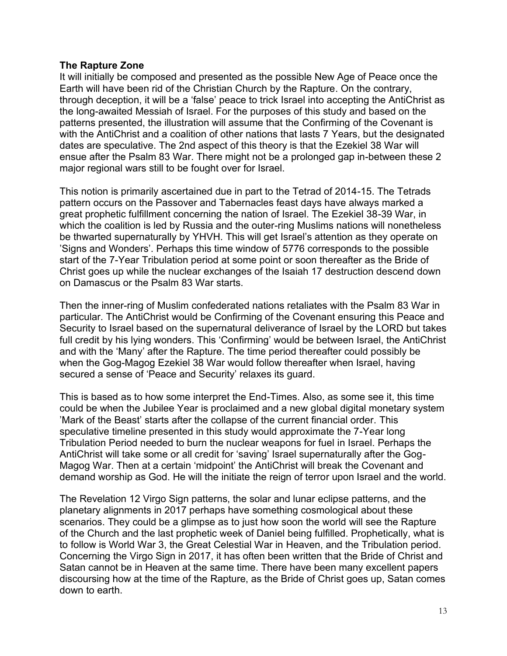## **The Rapture Zone**

It will initially be composed and presented as the possible New Age of Peace once the Earth will have been rid of the Christian Church by the Rapture. On the contrary, through deception, it will be a 'false' peace to trick Israel into accepting the AntiChrist as the long-awaited Messiah of Israel. For the purposes of this study and based on the patterns presented, the illustration will assume that the Confirming of the Covenant is with the AntiChrist and a coalition of other nations that lasts 7 Years, but the designated dates are speculative. The 2nd aspect of this theory is that the Ezekiel 38 War will ensue after the Psalm 83 War. There might not be a prolonged gap in-between these 2 major regional wars still to be fought over for Israel.

This notion is primarily ascertained due in part to the Tetrad of 2014-15. The Tetrads pattern occurs on the Passover and Tabernacles feast days have always marked a great prophetic fulfillment concerning the nation of Israel. The Ezekiel 38-39 War, in which the coalition is led by Russia and the outer-ring Muslims nations will nonetheless be thwarted supernaturally by YHVH. This will get Israel's attention as they operate on 'Signs and Wonders'. Perhaps this time window of 5776 corresponds to the possible start of the 7-Year Tribulation period at some point or soon thereafter as the Bride of Christ goes up while the nuclear exchanges of the Isaiah 17 destruction descend down on Damascus or the Psalm 83 War starts.

Then the inner-ring of Muslim confederated nations retaliates with the Psalm 83 War in particular. The AntiChrist would be Confirming of the Covenant ensuring this Peace and Security to Israel based on the supernatural deliverance of Israel by the LORD but takes full credit by his lying wonders. This 'Confirming' would be between Israel, the AntiChrist and with the 'Many' after the Rapture. The time period thereafter could possibly be when the Gog-Magog Ezekiel 38 War would follow thereafter when Israel, having secured a sense of 'Peace and Security' relaxes its guard.

This is based as to how some interpret the End-Times. Also, as some see it, this time could be when the Jubilee Year is proclaimed and a new global digital monetary system 'Mark of the Beast' starts after the collapse of the current financial order. This speculative timeline presented in this study would approximate the 7-Year long Tribulation Period needed to burn the nuclear weapons for fuel in Israel. Perhaps the AntiChrist will take some or all credit for 'saving' Israel supernaturally after the Gog-Magog War. Then at a certain 'midpoint' the AntiChrist will break the Covenant and demand worship as God. He will the initiate the reign of terror upon Israel and the world.

The Revelation 12 Virgo Sign patterns, the solar and lunar eclipse patterns, and the planetary alignments in 2017 perhaps have something cosmological about these scenarios. They could be a glimpse as to just how soon the world will see the Rapture of the Church and the last prophetic week of Daniel being fulfilled. Prophetically, what is to follow is World War 3, the Great Celestial War in Heaven, and the Tribulation period. Concerning the Virgo Sign in 2017, it has often been written that the Bride of Christ and Satan cannot be in Heaven at the same time. There have been many excellent papers discoursing how at the time of the Rapture, as the Bride of Christ goes up, Satan comes down to earth.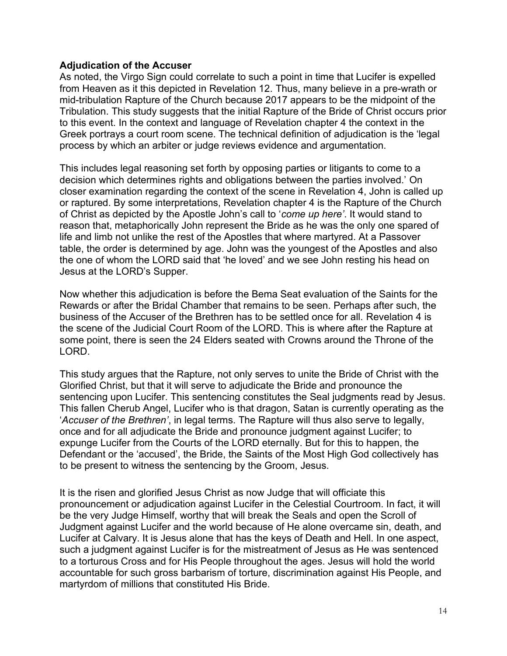## **Adjudication of the Accuser**

As noted, the Virgo Sign could correlate to such a point in time that Lucifer is expelled from Heaven as it this depicted in Revelation 12. Thus, many believe in a pre-wrath or mid-tribulation Rapture of the Church because 2017 appears to be the midpoint of the Tribulation. This study suggests that the initial Rapture of the Bride of Christ occurs prior to this event. In the context and language of Revelation chapter 4 the context in the Greek portrays a court room scene. The technical definition of adjudication is the 'legal process by which an arbiter or judge reviews evidence and argumentation.

This includes legal reasoning set forth by opposing parties or litigants to come to a decision which determines rights and obligations between the parties involved.' On closer examination regarding the context of the scene in Revelation 4, John is called up or raptured. By some interpretations, Revelation chapter 4 is the Rapture of the Church of Christ as depicted by the Apostle John's call to '*come up here'*. It would stand to reason that, metaphorically John represent the Bride as he was the only one spared of life and limb not unlike the rest of the Apostles that where martyred. At a Passover table, the order is determined by age. John was the youngest of the Apostles and also the one of whom the LORD said that 'he loved' and we see John resting his head on Jesus at the LORD's Supper.

Now whether this adjudication is before the Bema Seat evaluation of the Saints for the Rewards or after the Bridal Chamber that remains to be seen. Perhaps after such, the business of the Accuser of the Brethren has to be settled once for all. Revelation 4 is the scene of the Judicial Court Room of the LORD. This is where after the Rapture at some point, there is seen the 24 Elders seated with Crowns around the Throne of the LORD.

This study argues that the Rapture, not only serves to unite the Bride of Christ with the Glorified Christ, but that it will serve to adjudicate the Bride and pronounce the sentencing upon Lucifer. This sentencing constitutes the Seal judgments read by Jesus. This fallen Cherub Angel, Lucifer who is that dragon, Satan is currently operating as the '*Accuser of the Brethren'*, in legal terms. The Rapture will thus also serve to legally, once and for all adjudicate the Bride and pronounce judgment against Lucifer; to expunge Lucifer from the Courts of the LORD eternally. But for this to happen, the Defendant or the 'accused', the Bride, the Saints of the Most High God collectively has to be present to witness the sentencing by the Groom, Jesus.

It is the risen and glorified Jesus Christ as now Judge that will officiate this pronouncement or adjudication against Lucifer in the Celestial Courtroom. In fact, it will be the very Judge Himself, worthy that will break the Seals and open the Scroll of Judgment against Lucifer and the world because of He alone overcame sin, death, and Lucifer at Calvary. It is Jesus alone that has the keys of Death and Hell. In one aspect, such a judgment against Lucifer is for the mistreatment of Jesus as He was sentenced to a torturous Cross and for His People throughout the ages. Jesus will hold the world accountable for such gross barbarism of torture, discrimination against His People, and martyrdom of millions that constituted His Bride.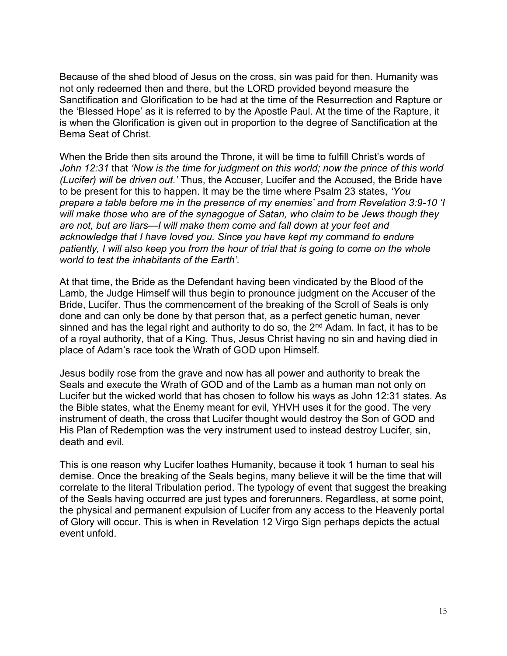Because of the shed blood of Jesus on the cross, sin was paid for then. Humanity was not only redeemed then and there, but the LORD provided beyond measure the Sanctification and Glorification to be had at the time of the Resurrection and Rapture or the 'Blessed Hope' as it is referred to by the Apostle Paul. At the time of the Rapture, it is when the Glorification is given out in proportion to the degree of Sanctification at the Bema Seat of Christ.

When the Bride then sits around the Throne, it will be time to fulfill Christ's words of *John 12:31* that *'Now is the time for judgment on this world; now the prince of this world (Lucifer) will be driven out.'* Thus, the Accuser, Lucifer and the Accused, the Bride have to be present for this to happen. It may be the time where Psalm 23 states, *'You prepare a table before me in the presence of my enemies' and from Revelation 3:9-10 'I will make those who are of the synagogue of Satan, who claim to be Jews though they are not, but are liars—I will make them come and fall down at your feet and acknowledge that I have loved you. Since you have kept my command to endure patiently, I will also keep you from the hour of trial that is going to come on the whole world to test the inhabitants of the Earth'.*

At that time, the Bride as the Defendant having been vindicated by the Blood of the Lamb, the Judge Himself will thus begin to pronounce judgment on the Accuser of the Bride, Lucifer. Thus the commencement of the breaking of the Scroll of Seals is only done and can only be done by that person that, as a perfect genetic human, never sinned and has the legal right and authority to do so, the 2<sup>nd</sup> Adam. In fact, it has to be of a royal authority, that of a King. Thus, Jesus Christ having no sin and having died in place of Adam's race took the Wrath of GOD upon Himself.

Jesus bodily rose from the grave and now has all power and authority to break the Seals and execute the Wrath of GOD and of the Lamb as a human man not only on Lucifer but the wicked world that has chosen to follow his ways as John 12:31 states. As the Bible states, what the Enemy meant for evil, YHVH uses it for the good. The very instrument of death, the cross that Lucifer thought would destroy the Son of GOD and His Plan of Redemption was the very instrument used to instead destroy Lucifer, sin, death and evil.

This is one reason why Lucifer loathes Humanity, because it took 1 human to seal his demise. Once the breaking of the Seals begins, many believe it will be the time that will correlate to the literal Tribulation period. The typology of event that suggest the breaking of the Seals having occurred are just types and forerunners. Regardless, at some point, the physical and permanent expulsion of Lucifer from any access to the Heavenly portal of Glory will occur. This is when in Revelation 12 Virgo Sign perhaps depicts the actual event unfold.